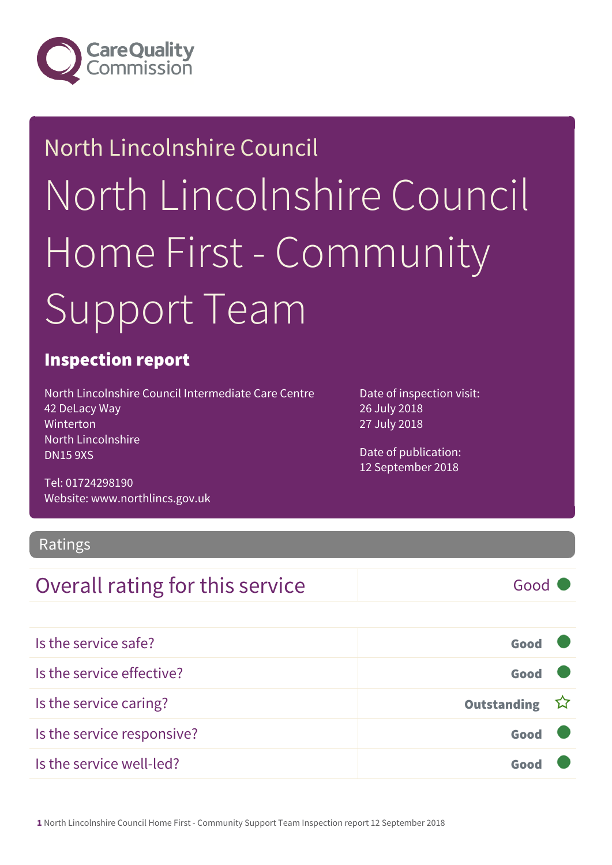

## North Lincolnshire Council North Lincolnshire Council Home First - Community Support Team

#### Inspection report

North Lincolnshire Council Intermediate Care Centre 42 DeLacy Way Winterton North Lincolnshire DN15 9XS

Tel: 01724298190 Website: www.northlincs.gov.uk

Ratings

#### **Overall rating for this service** and **Good** Good

| Is the service safe?       | Good          |  |
|----------------------------|---------------|--|
| Is the service effective?  | Good          |  |
| Is the service caring?     | Outstanding ☆ |  |
| Is the service responsive? | Good          |  |
| Is the service well-led?   | Good          |  |

Date of inspection visit: 26 July 2018 27 July 2018

Date of publication: 12 September 2018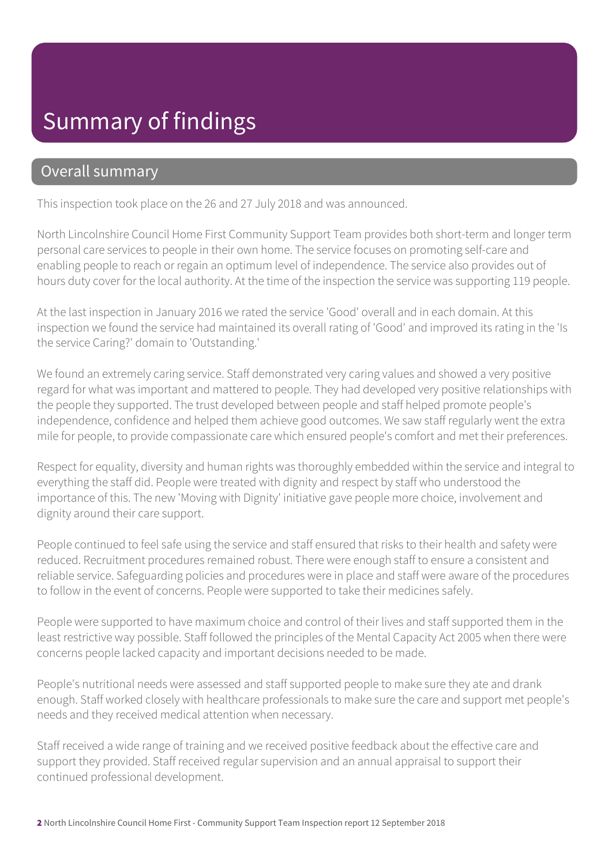#### Summary of findings

#### Overall summary

This inspection took place on the 26 and 27 July 2018 and was announced.

North Lincolnshire Council Home First Community Support Team provides both short-term and longer term personal care services to people in their own home. The service focuses on promoting self-care and enabling people to reach or regain an optimum level of independence. The service also provides out of hours duty cover for the local authority. At the time of the inspection the service was supporting 119 people.

At the last inspection in January 2016 we rated the service 'Good' overall and in each domain. At this inspection we found the service had maintained its overall rating of 'Good' and improved its rating in the 'Is the service Caring?' domain to 'Outstanding.'

We found an extremely caring service. Staff demonstrated very caring values and showed a very positive regard for what was important and mattered to people. They had developed very positive relationships with the people they supported. The trust developed between people and staff helped promote people's independence, confidence and helped them achieve good outcomes. We saw staff regularly went the extra mile for people, to provide compassionate care which ensured people's comfort and met their preferences.

Respect for equality, diversity and human rights was thoroughly embedded within the service and integral to everything the staff did. People were treated with dignity and respect by staff who understood the importance of this. The new 'Moving with Dignity' initiative gave people more choice, involvement and dignity around their care support.

People continued to feel safe using the service and staff ensured that risks to their health and safety were reduced. Recruitment procedures remained robust. There were enough staff to ensure a consistent and reliable service. Safeguarding policies and procedures were in place and staff were aware of the procedures to follow in the event of concerns. People were supported to take their medicines safely.

People were supported to have maximum choice and control of their lives and staff supported them in the least restrictive way possible. Staff followed the principles of the Mental Capacity Act 2005 when there were concerns people lacked capacity and important decisions needed to be made.

People's nutritional needs were assessed and staff supported people to make sure they ate and drank enough. Staff worked closely with healthcare professionals to make sure the care and support met people's needs and they received medical attention when necessary.

Staff received a wide range of training and we received positive feedback about the effective care and support they provided. Staff received regular supervision and an annual appraisal to support their continued professional development.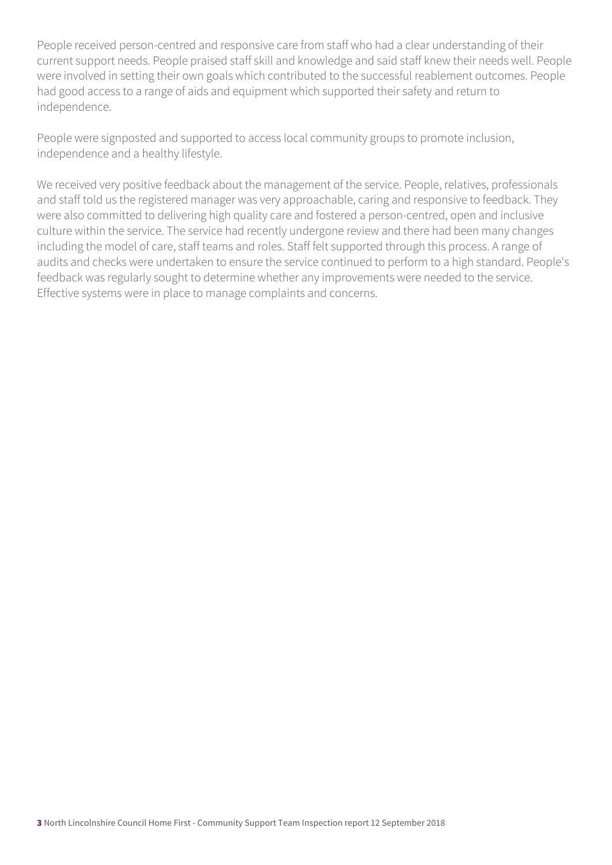People received person-centred and responsive care from staff who had a clear understanding of their current support needs. People praised staff skill and knowledge and said staff knew their needs well. People were involved in setting their own goals which contributed to the successful reablement outcomes. People had good access to a range of aids and equipment which supported their safety and return to independence.

People were signposted and supported to access local community groups to promote inclusion, independence and a healthy lifestyle.

We received very positive feedback about the management of the service. People, relatives, professionals and staff told us the registered manager was very approachable, caring and responsive to feedback. They were also committed to delivering high quality care and fostered a person-centred, open and inclusive culture within the service. The service had recently undergone review and there had been many changes including the model of care, staff teams and roles. Staff felt supported through this process. A range of audits and checks were undertaken to ensure the service continued to perform to a high standard. People's feedback was regularly sought to determine whether any improvements were needed to the service. Effective systems were in place to manage complaints and concerns.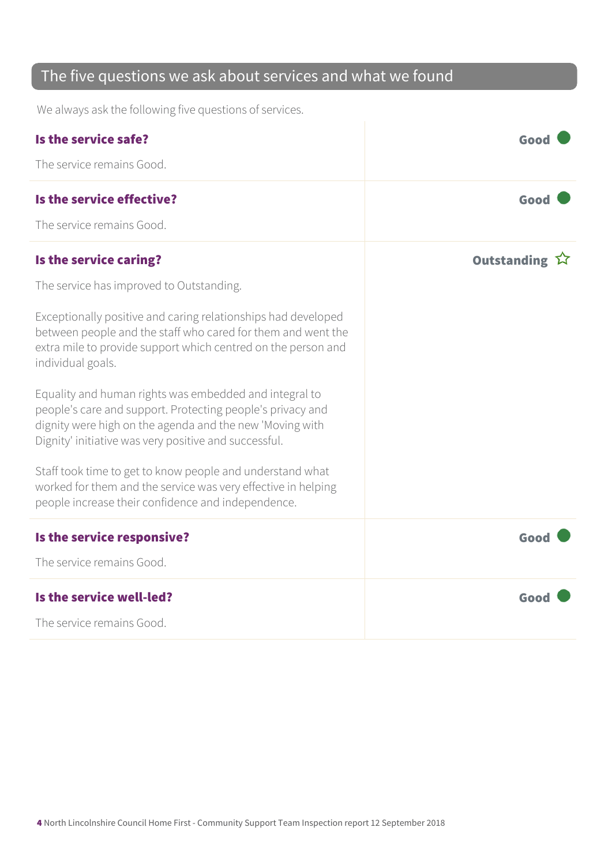#### The five questions we ask about services and what we found

We always ask the following five questions of services.

| Is the service safe?                                                                                                                                                                                                                      | Good          |
|-------------------------------------------------------------------------------------------------------------------------------------------------------------------------------------------------------------------------------------------|---------------|
| The service remains Good.                                                                                                                                                                                                                 |               |
| Is the service effective?                                                                                                                                                                                                                 | Good          |
| The service remains Good.                                                                                                                                                                                                                 |               |
| Is the service caring?                                                                                                                                                                                                                    | Outstanding 公 |
| The service has improved to Outstanding.                                                                                                                                                                                                  |               |
| Exceptionally positive and caring relationships had developed<br>between people and the staff who cared for them and went the<br>extra mile to provide support which centred on the person and<br>individual goals.                       |               |
| Equality and human rights was embedded and integral to<br>people's care and support. Protecting people's privacy and<br>dignity were high on the agenda and the new 'Moving with<br>Dignity' initiative was very positive and successful. |               |
| Staff took time to get to know people and understand what<br>worked for them and the service was very effective in helping<br>people increase their confidence and independence.                                                          |               |
| Is the service responsive?                                                                                                                                                                                                                | Good          |
| The service remains Good.                                                                                                                                                                                                                 |               |
| Is the service well-led?                                                                                                                                                                                                                  | Good          |
| The service remains Good.                                                                                                                                                                                                                 |               |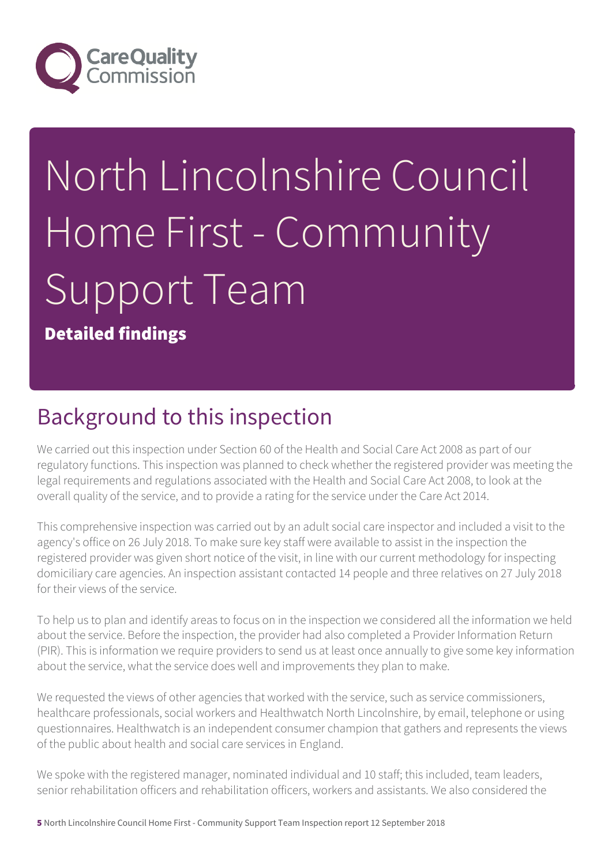

# North Lincolnshire Council Home First - Community Support Team

Detailed findings

#### Background to this inspection

We carried out this inspection under Section 60 of the Health and Social Care Act 2008 as part of our regulatory functions. This inspection was planned to check whether the registered provider was meeting the legal requirements and regulations associated with the Health and Social Care Act 2008, to look at the overall quality of the service, and to provide a rating for the service under the Care Act 2014.

This comprehensive inspection was carried out by an adult social care inspector and included a visit to the agency's office on 26 July 2018. To make sure key staff were available to assist in the inspection the registered provider was given short notice of the visit, in line with our current methodology for inspecting domiciliary care agencies. An inspection assistant contacted 14 people and three relatives on 27 July 2018 for their views of the service.

To help us to plan and identify areas to focus on in the inspection we considered all the information we held about the service. Before the inspection, the provider had also completed a Provider Information Return (PIR). This is information we require providers to send us at least once annually to give some key information about the service, what the service does well and improvements they plan to make.

We requested the views of other agencies that worked with the service, such as service commissioners, healthcare professionals, social workers and Healthwatch North Lincolnshire, by email, telephone or using questionnaires. Healthwatch is an independent consumer champion that gathers and represents the views of the public about health and social care services in England.

We spoke with the registered manager, nominated individual and 10 staff; this included, team leaders, senior rehabilitation officers and rehabilitation officers, workers and assistants. We also considered the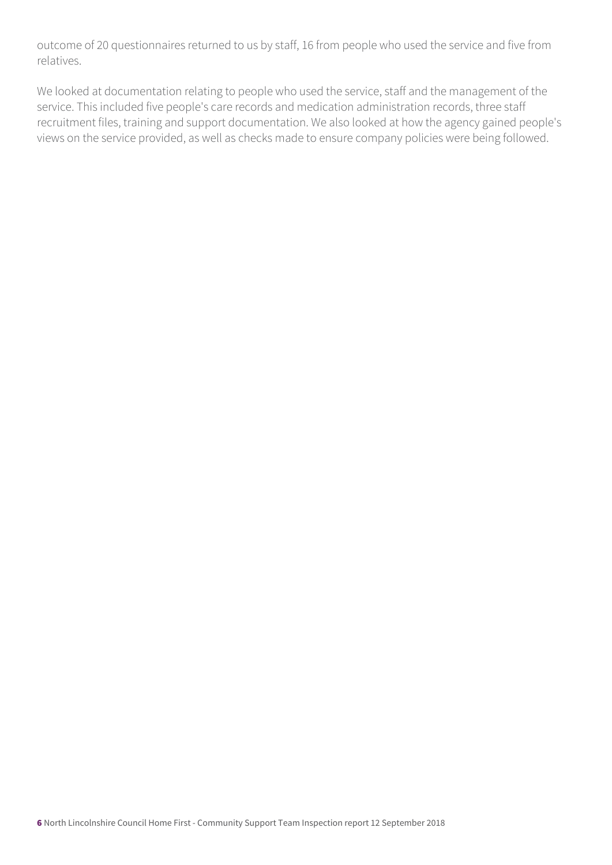outcome of 20 questionnaires returned to us by staff, 16 from people who used the service and five from relatives.

We looked at documentation relating to people who used the service, staff and the management of the service. This included five people's care records and medication administration records, three staff recruitment files, training and support documentation. We also looked at how the agency gained people's views on the service provided, as well as checks made to ensure company policies were being followed.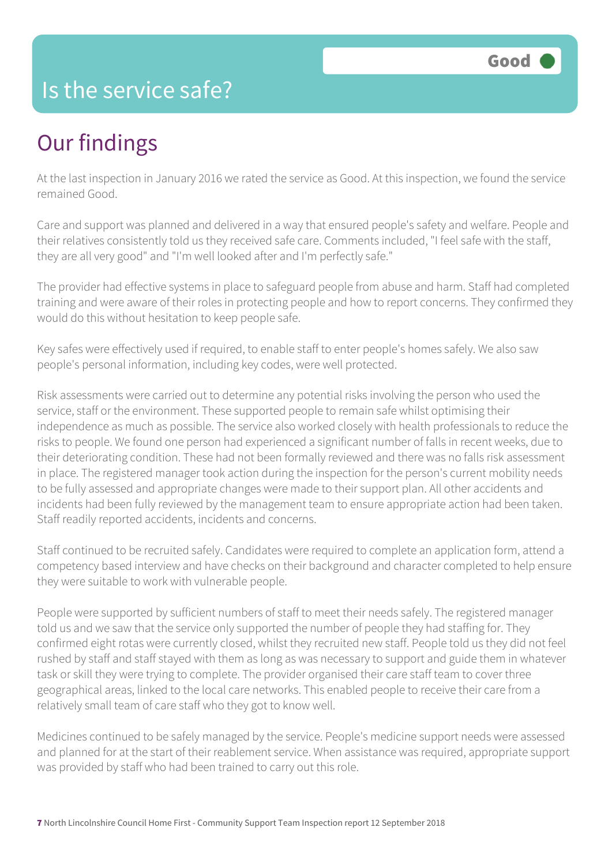#### Is the service safe?

#### Our findings

At the last inspection in January 2016 we rated the service as Good. At this inspection, we found the service remained Good.

Care and support was planned and delivered in a way that ensured people's safety and welfare. People and their relatives consistently told us they received safe care. Comments included, "I feel safe with the staff, they are all very good" and "I'm well looked after and I'm perfectly safe."

The provider had effective systems in place to safeguard people from abuse and harm. Staff had completed training and were aware of their roles in protecting people and how to report concerns. They confirmed they would do this without hesitation to keep people safe.

Key safes were effectively used if required, to enable staff to enter people's homes safely. We also saw people's personal information, including key codes, were well protected.

Risk assessments were carried out to determine any potential risks involving the person who used the service, staff or the environment. These supported people to remain safe whilst optimising their independence as much as possible. The service also worked closely with health professionals to reduce the risks to people. We found one person had experienced a significant number of falls in recent weeks, due to their deteriorating condition. These had not been formally reviewed and there was no falls risk assessment in place. The registered manager took action during the inspection for the person's current mobility needs to be fully assessed and appropriate changes were made to their support plan. All other accidents and incidents had been fully reviewed by the management team to ensure appropriate action had been taken. Staff readily reported accidents, incidents and concerns.

Staff continued to be recruited safely. Candidates were required to complete an application form, attend a competency based interview and have checks on their background and character completed to help ensure they were suitable to work with vulnerable people.

People were supported by sufficient numbers of staff to meet their needs safely. The registered manager told us and we saw that the service only supported the number of people they had staffing for. They confirmed eight rotas were currently closed, whilst they recruited new staff. People told us they did not feel rushed by staff and staff stayed with them as long as was necessary to support and guide them in whatever task or skill they were trying to complete. The provider organised their care staff team to cover three geographical areas, linked to the local care networks. This enabled people to receive their care from a relatively small team of care staff who they got to know well.

Medicines continued to be safely managed by the service. People's medicine support needs were assessed and planned for at the start of their reablement service. When assistance was required, appropriate support was provided by staff who had been trained to carry out this role.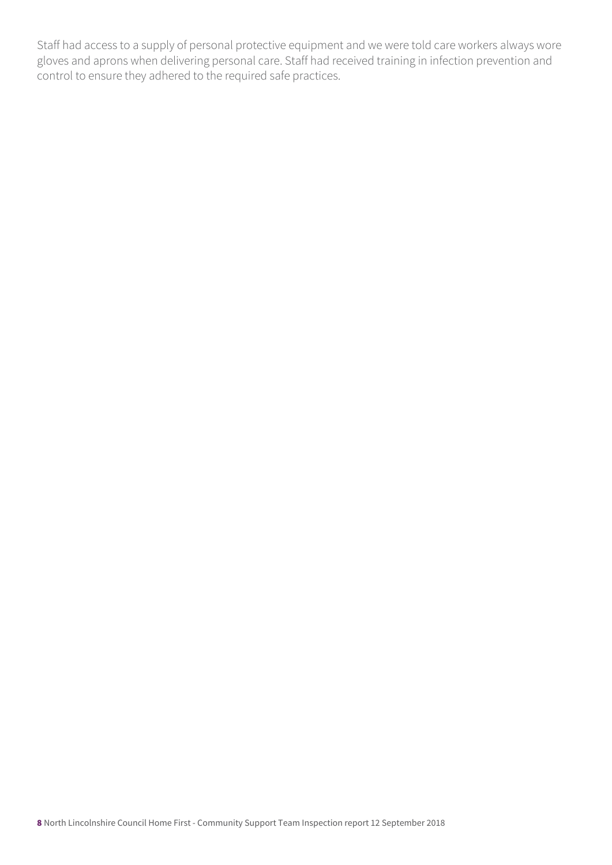Staff had access to a supply of personal protective equipment and we were told care workers always wore gloves and aprons when delivering personal care. Staff had received training in infection prevention and control to ensure they adhered to the required safe practices.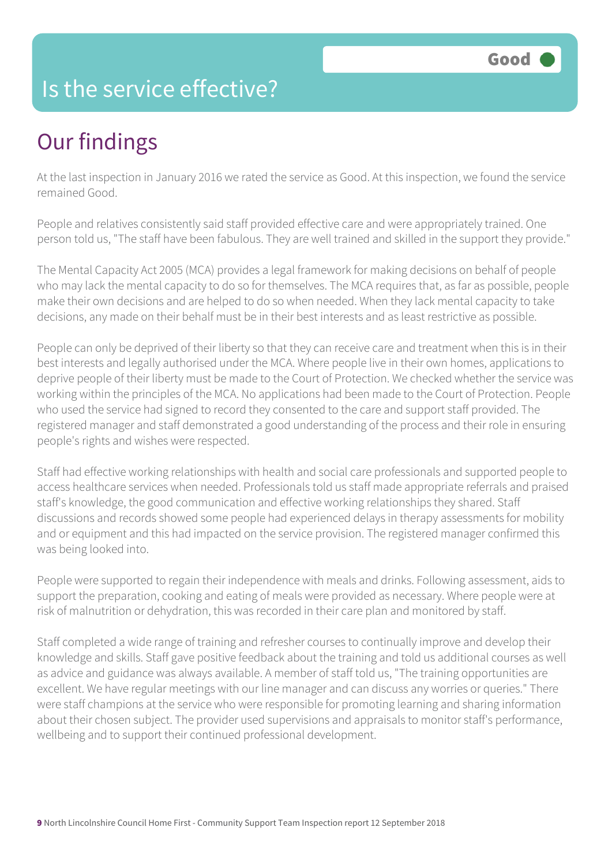#### Is the service effective?

## Our findings

At the last inspection in January 2016 we rated the service as Good. At this inspection, we found the service remained Good.

People and relatives consistently said staff provided effective care and were appropriately trained. One person told us, "The staff have been fabulous. They are well trained and skilled in the support they provide."

The Mental Capacity Act 2005 (MCA) provides a legal framework for making decisions on behalf of people who may lack the mental capacity to do so for themselves. The MCA requires that, as far as possible, people make their own decisions and are helped to do so when needed. When they lack mental capacity to take decisions, any made on their behalf must be in their best interests and as least restrictive as possible.

People can only be deprived of their liberty so that they can receive care and treatment when this is in their best interests and legally authorised under the MCA. Where people live in their own homes, applications to deprive people of their liberty must be made to the Court of Protection. We checked whether the service was working within the principles of the MCA. No applications had been made to the Court of Protection. People who used the service had signed to record they consented to the care and support staff provided. The registered manager and staff demonstrated a good understanding of the process and their role in ensuring people's rights and wishes were respected.

Staff had effective working relationships with health and social care professionals and supported people to access healthcare services when needed. Professionals told us staff made appropriate referrals and praised staff's knowledge, the good communication and effective working relationships they shared. Staff discussions and records showed some people had experienced delays in therapy assessments for mobility and or equipment and this had impacted on the service provision. The registered manager confirmed this was being looked into.

People were supported to regain their independence with meals and drinks. Following assessment, aids to support the preparation, cooking and eating of meals were provided as necessary. Where people were at risk of malnutrition or dehydration, this was recorded in their care plan and monitored by staff.

Staff completed a wide range of training and refresher courses to continually improve and develop their knowledge and skills. Staff gave positive feedback about the training and told us additional courses as well as advice and guidance was always available. A member of staff told us, "The training opportunities are excellent. We have regular meetings with our line manager and can discuss any worries or queries." There were staff champions at the service who were responsible for promoting learning and sharing information about their chosen subject. The provider used supervisions and appraisals to monitor staff's performance, wellbeing and to support their continued professional development.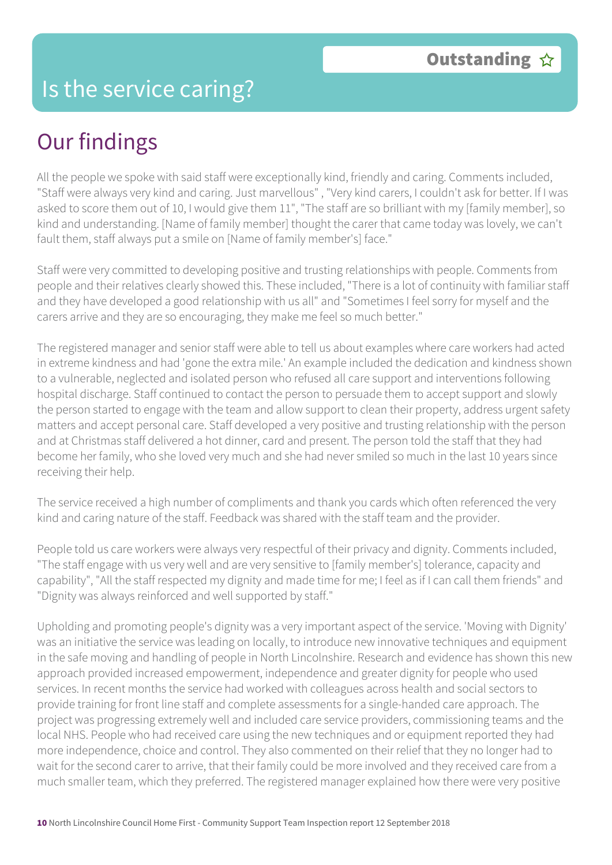#### Is the service caring?

### Our findings

All the people we spoke with said staff were exceptionally kind, friendly and caring. Comments included, "Staff were always very kind and caring. Just marvellous" , "Very kind carers, I couldn't ask for better. If I was asked to score them out of 10, I would give them 11", "The staff are so brilliant with my [family member], so kind and understanding. [Name of family member] thought the carer that came today was lovely, we can't fault them, staff always put a smile on [Name of family member's] face."

Staff were very committed to developing positive and trusting relationships with people. Comments from people and their relatives clearly showed this. These included, "There is a lot of continuity with familiar staff and they have developed a good relationship with us all" and "Sometimes I feel sorry for myself and the carers arrive and they are so encouraging, they make me feel so much better."

The registered manager and senior staff were able to tell us about examples where care workers had acted in extreme kindness and had 'gone the extra mile.' An example included the dedication and kindness shown to a vulnerable, neglected and isolated person who refused all care support and interventions following hospital discharge. Staff continued to contact the person to persuade them to accept support and slowly the person started to engage with the team and allow support to clean their property, address urgent safety matters and accept personal care. Staff developed a very positive and trusting relationship with the person and at Christmas staff delivered a hot dinner, card and present. The person told the staff that they had become her family, who she loved very much and she had never smiled so much in the last 10 years since receiving their help.

The service received a high number of compliments and thank you cards which often referenced the very kind and caring nature of the staff. Feedback was shared with the staff team and the provider.

People told us care workers were always very respectful of their privacy and dignity. Comments included, "The staff engage with us very well and are very sensitive to [family member's] tolerance, capacity and capability", "All the staff respected my dignity and made time for me; I feel as if I can call them friends" and "Dignity was always reinforced and well supported by staff."

Upholding and promoting people's dignity was a very important aspect of the service. 'Moving with Dignity' was an initiative the service was leading on locally, to introduce new innovative techniques and equipment in the safe moving and handling of people in North Lincolnshire. Research and evidence has shown this new approach provided increased empowerment, independence and greater dignity for people who used services. In recent months the service had worked with colleagues across health and social sectors to provide training for front line staff and complete assessments for a single-handed care approach. The project was progressing extremely well and included care service providers, commissioning teams and the local NHS. People who had received care using the new techniques and or equipment reported they had more independence, choice and control. They also commented on their relief that they no longer had to wait for the second carer to arrive, that their family could be more involved and they received care from a much smaller team, which they preferred. The registered manager explained how there were very positive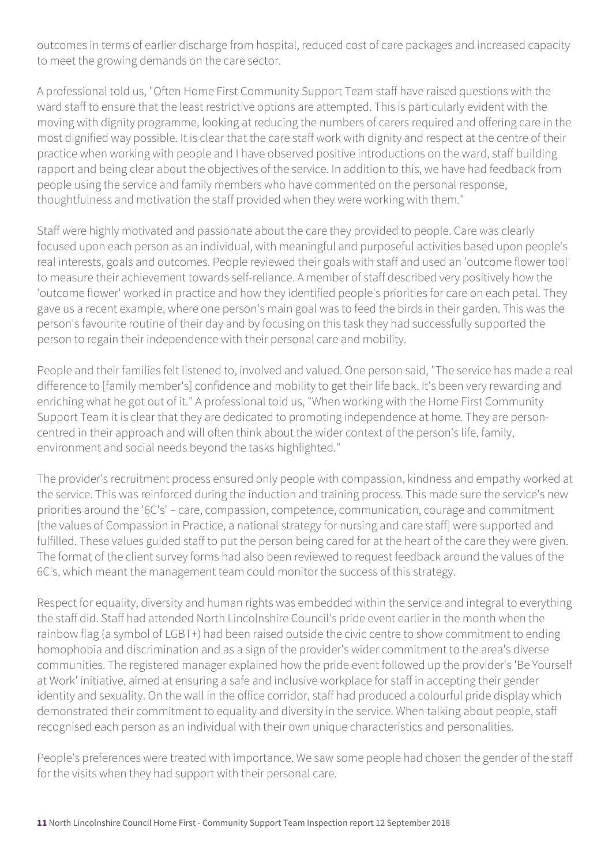outcomes in terms of earlier discharge from hospital, reduced cost of care packages and increased capacity to meet the growing demands on the care sector.

A professional told us, "Often Home First Community Support Team staff have raised questions with the ward staff to ensure that the least restrictive options are attempted. This is particularly evident with the moving with dignity programme, looking at reducing the numbers of carers required and offering care in the most dignified way possible. It is clear that the care staff work with dignity and respect at the centre of their practice when working with people and I have observed positive introductions on the ward, staff building rapport and being clear about the objectives of the service. In addition to this, we have had feedback from people using the service and family members who have commented on the personal response, thoughtfulness and motivation the staff provided when they were working with them."

Staff were highly motivated and passionate about the care they provided to people. Care was clearly focused upon each person as an individual, with meaningful and purposeful activities based upon people's real interests, goals and outcomes. People reviewed their goals with staff and used an 'outcome flower tool' to measure their achievement towards self-reliance. A member of staff described very positively how the 'outcome flower' worked in practice and how they identified people's priorities for care on each petal. They gave us a recent example, where one person's main goal was to feed the birds in their garden. This was the person's favourite routine of their day and by focusing on this task they had successfully supported the person to regain their independence with their personal care and mobility.

People and their families felt listened to, involved and valued. One person said, "The service has made a real difference to [family member's] confidence and mobility to get their life back. It's been very rewarding and enriching what he got out of it." A professional told us, "When working with the Home First Community Support Team it is clear that they are dedicated to promoting independence at home. They are personcentred in their approach and will often think about the wider context of the person's life, family, environment and social needs beyond the tasks highlighted."

The provider's recruitment process ensured only people with compassion, kindness and empathy worked at the service. This was reinforced during the induction and training process. This made sure the service's new priorities around the '6C's' – care, compassion, competence, communication, courage and commitment [the values of Compassion in Practice, a national strategy for nursing and care staff] were supported and fulfilled. These values guided staff to put the person being cared for at the heart of the care they were given. The format of the client survey forms had also been reviewed to request feedback around the values of the 6C's, which meant the management team could monitor the success of this strategy.

Respect for equality, diversity and human rights was embedded within the service and integral to everything the staff did. Staff had attended North Lincolnshire Council's pride event earlier in the month when the rainbow flag (a symbol of LGBT+) had been raised outside the civic centre to show commitment to ending homophobia and discrimination and as a sign of the provider's wider commitment to the area's diverse communities. The registered manager explained how the pride event followed up the provider's 'Be Yourself at Work' initiative, aimed at ensuring a safe and inclusive workplace for staff in accepting their gender identity and sexuality. On the wall in the office corridor, staff had produced a colourful pride display which demonstrated their commitment to equality and diversity in the service. When talking about people, staff recognised each person as an individual with their own unique characteristics and personalities.

People's preferences were treated with importance. We saw some people had chosen the gender of the staff for the visits when they had support with their personal care.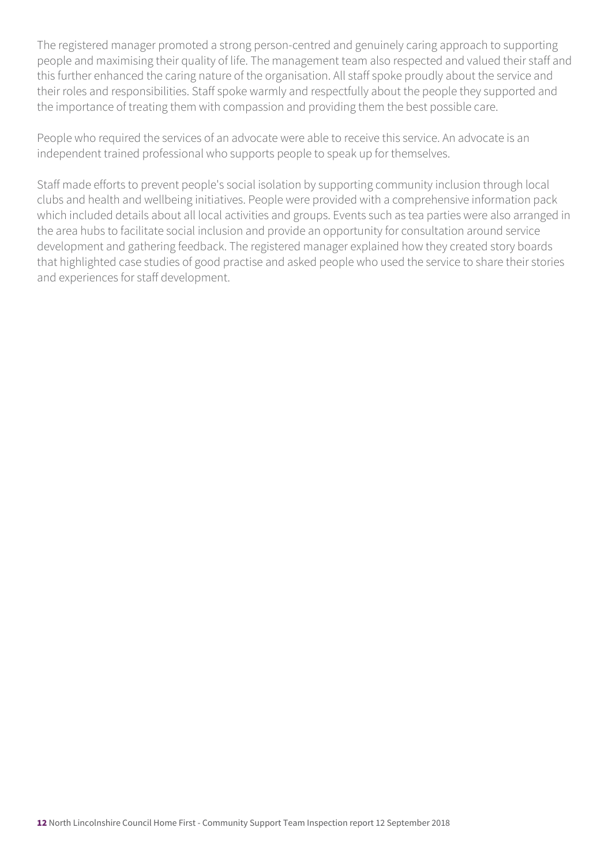The registered manager promoted a strong person-centred and genuinely caring approach to supporting people and maximising their quality of life. The management team also respected and valued their staff and this further enhanced the caring nature of the organisation. All staff spoke proudly about the service and their roles and responsibilities. Staff spoke warmly and respectfully about the people they supported and the importance of treating them with compassion and providing them the best possible care.

People who required the services of an advocate were able to receive this service. An advocate is an independent trained professional who supports people to speak up for themselves.

Staff made efforts to prevent people's social isolation by supporting community inclusion through local clubs and health and wellbeing initiatives. People were provided with a comprehensive information pack which included details about all local activities and groups. Events such as tea parties were also arranged in the area hubs to facilitate social inclusion and provide an opportunity for consultation around service development and gathering feedback. The registered manager explained how they created story boards that highlighted case studies of good practise and asked people who used the service to share their stories and experiences for staff development.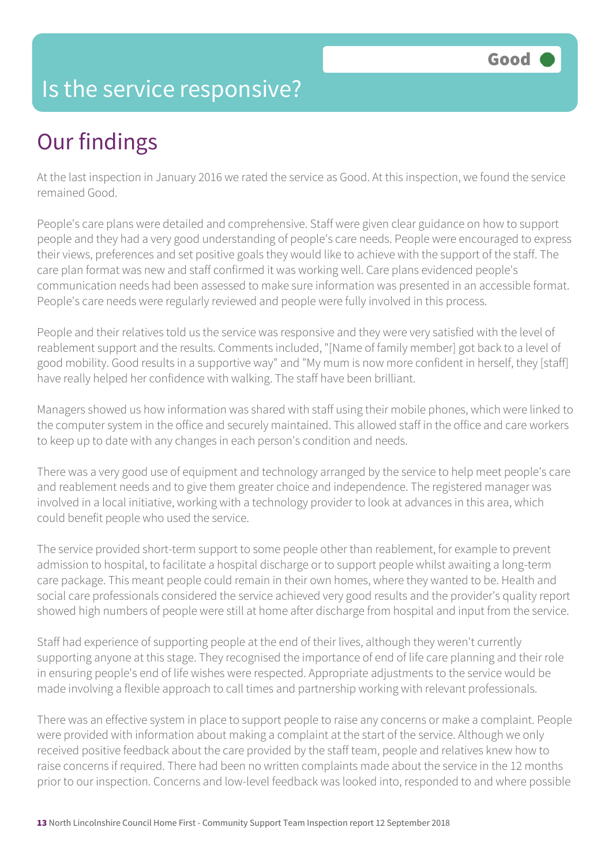#### Is the service responsive?

## Our findings

At the last inspection in January 2016 we rated the service as Good. At this inspection, we found the service remained Good.

People's care plans were detailed and comprehensive. Staff were given clear guidance on how to support people and they had a very good understanding of people's care needs. People were encouraged to express their views, preferences and set positive goals they would like to achieve with the support of the staff. The care plan format was new and staff confirmed it was working well. Care plans evidenced people's communication needs had been assessed to make sure information was presented in an accessible format. People's care needs were regularly reviewed and people were fully involved in this process.

People and their relatives told us the service was responsive and they were very satisfied with the level of reablement support and the results. Comments included, "[Name of family member] got back to a level of good mobility. Good results in a supportive way" and "My mum is now more confident in herself, they [staff] have really helped her confidence with walking. The staff have been brilliant.

Managers showed us how information was shared with staff using their mobile phones, which were linked to the computer system in the office and securely maintained. This allowed staff in the office and care workers to keep up to date with any changes in each person's condition and needs.

There was a very good use of equipment and technology arranged by the service to help meet people's care and reablement needs and to give them greater choice and independence. The registered manager was involved in a local initiative, working with a technology provider to look at advances in this area, which could benefit people who used the service.

The service provided short-term support to some people other than reablement, for example to prevent admission to hospital, to facilitate a hospital discharge or to support people whilst awaiting a long-term care package. This meant people could remain in their own homes, where they wanted to be. Health and social care professionals considered the service achieved very good results and the provider's quality report showed high numbers of people were still at home after discharge from hospital and input from the service.

Staff had experience of supporting people at the end of their lives, although they weren't currently supporting anyone at this stage. They recognised the importance of end of life care planning and their role in ensuring people's end of life wishes were respected. Appropriate adjustments to the service would be made involving a flexible approach to call times and partnership working with relevant professionals.

There was an effective system in place to support people to raise any concerns or make a complaint. People were provided with information about making a complaint at the start of the service. Although we only received positive feedback about the care provided by the staff team, people and relatives knew how to raise concerns if required. There had been no written complaints made about the service in the 12 months prior to our inspection. Concerns and low-level feedback was looked into, responded to and where possible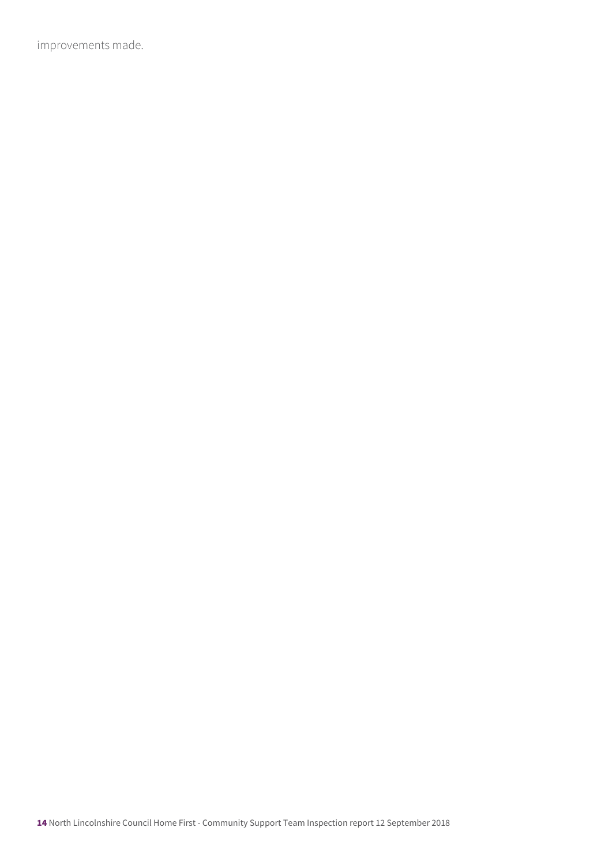improvements made.